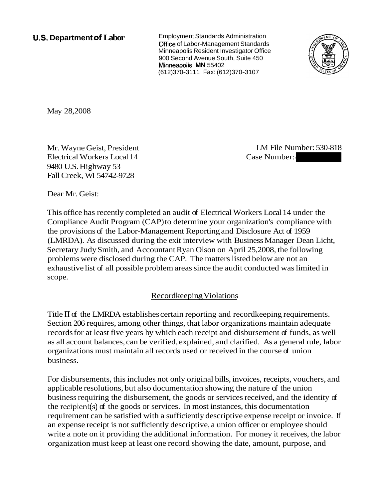**U.S. Department of Labor** Employment Standards Administration Office of Labor-Management Standards Minneapolis Resident Investigator Office 900 Second Avenue South, Suite 450 Minneapolis, **RAN** 55402 (612)370-3111 Fax: (612)370-3107



May 28,2008

Mr. Wayne Geist, President Electrical Workers Local 14 9480 U.S. Highway 53 Fall Creek, WI 54742-9728

LM File Number: 530-818

Dear Mr. Geist:

This office has recently completed an audit of Electrical Workers Local 14 under the Compliance Audit Program (CAP) to determine your organization's compliance with the provisions of the Labor-Management Reporting and Disclosure Act of 1959 (LMRDA). As discussed during the exit interview with Business Manager Dean Licht, Secretary Judy Smith, and Accountant Ryan Olson on April 25,2008, the following problems were disclosed during the CAP. The matters listed below are not an exhaustive list of all possible problem areas since the audit conducted was limited in scope.

# Recordkeeping Violations

Title I1 of the LMRDA establishes certain reporting and recordkeeping requirements. Section 206 requires, among other things, that labor organizations maintain adequate records for at least five years by which each receipt and disbursement of funds, as well as all account balances, can be verified, explained, and clarified. As a general rule, labor organizations must maintain all records used or received in the course of union business.

For disbursements, this includes not only original bills, invoices, receipts, vouchers, and applicable resolutions, but also documentation showing the nature of the union business requiring the disbursement, the goods or services received, and the identity of the recipient(s) of the goods or services. In most instances, this documentation requirement can be satisfied with a sufficiently descriptive expense receipt or invoice. If an expense receipt is not sufficiently descriptive, a union officer or employee should write a note on it providing the additional information. For money it receives, the labor organization must keep at least one record showing the date, amount, purpose, and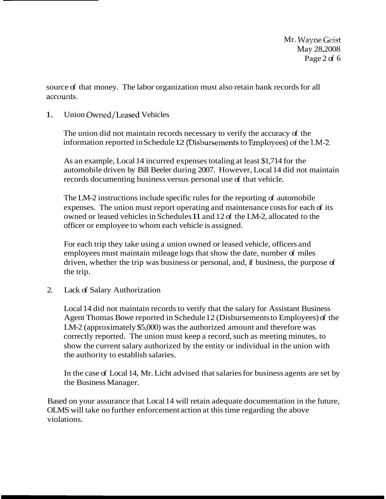source of that money. The labor organization must also retain bank records for all accounts.

# 1. Union Owned/Leased Vehicles

The union did not maintain records necessary to verify the accuracy of the information reported in Schedule 12  $\overline{D}$  is bursements to Employees) of the LM-2.

As an example, Local 14 incurred expenses totaling at least \$1,714 for the automobile driven by Bill Beeler during 2007. However, Local 14 did not maintain records documenting business versus personal use of that vehicle.

The LM-2 instructions include specific rules for the reporting of automobile expenses. The union must report operating and maintenance costs for each of its owned or leased vehicles in Schedules 11 and 12 of the LM-2, allocated to the officer or employee to whom each vehicle is assigned.

For each trip they take using a union owned or leased vehicle, officers and employees must maintain mileage logs that show the date, number of miles driven, whether the trip was business or personal, and, if business, the purpose of the trip.

# 2. Lack of Salary Authorization

Local 14 did not maintain records to verify that the salary for Assistant Business Agent Thomas Bowe reported in Schedule 12 (Disbursements to Employees) of the LM-2 (approximately \$5,000) was the authorized amount and therefore was correctly reported. The union must keep a record, such as meeting minutes, to show the current salary authorized by the entity or individual in the union with the authority to establish salaries.

In the case of Local 14, Mr. Licht advised that salaries for business agents are set by the Business Manager.

Based on your assurance that Local 14 will retain adequate documentation in the future, OLMS will take no further enforcement action at this time regarding the above violations.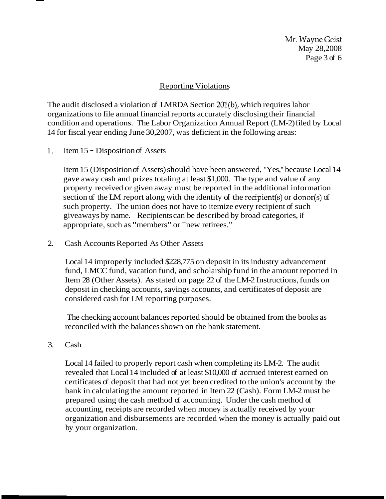**Mr.** Wayne Geist May 28,2008 Page 3 of 6

#### Reporting Violations

The audit disclosed a violation of LMRDA Section 201(b), which requires labor organizations to file annual financial reports accurately disclosing their financial condition and operations. The Labor Organization Annual Report (LM-2) filed by Local 14 for fiscal year ending June 30,2007, was deficient in the following areas:

1. Item 15 - Disposition of Assets

Item 15 (Disposition of Assets) should have been answered, "Yes," because Local 14 gave away cash and prizes totaling at least \$1,000. The type and value of any property received or given away must be reported in the additional information section of the LM report along with the identity of the recipient(s) or donor(s) of such property. The union does not have to itemize every recipient of such giveaways by name. Recipients can be described by broad categories, if appropriate, such as "members" or "new retirees."

2. Cash Accounts Reported As Other Assets

Local 14 improperly included \$228,775 on deposit in its industry advancement fund, LMCC fund, vacation fund, and scholarship fund in the amount reported in Item 28 (Other Assets). As stated on page 22 of the LM-2 Instructions, funds on deposit in checking accounts, savings accounts, and certificates of deposit are considered cash for LM reporting purposes.

The checking account balances reported should be obtained from the books as reconciled with the balances shown on the bank statement.

3. Cash

Local 14 failed to properly report cash when completing its LM-2. The audit revealed that Local 14 included of at least \$10,000 of accrued interest earned on certificates of deposit that had not yet been credited to the union's account by the bank in calculating the amount reported in Item 22 (Cash). Form LM-2 must be prepared using the cash method of accounting. Under the cash method of accounting, receipts are recorded when money is actually received by your organization and disbursements are recorded when the money is actually paid out by your organization.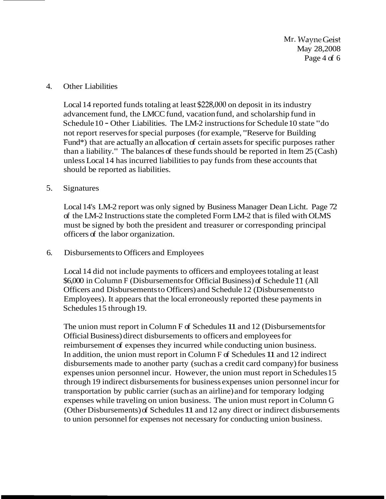Mr. *II\J237m* **&kist**  May 28,2008 Page 4 of 6

#### 4. Other Liabilities

Local 14 reported funds totaling at least \$228,000 on deposit in its industry advancement fund, the LMCC fund, vacation fund, and scholarship fund in Schedule 10 - Other Liabilities. The LM-2 instructions for Schedule 10 state "do not report reserves for special purposes (for example, "Reserve for Building Fund\*) that are actually an allocation of certain assets for specific purposes rather than a liability." The balances of these funds should be reported in Item 25 (Cash) unless Local 14 has incurred liabilities to pay funds from these accounts that should be reported as liabilities.

#### 5. Signatures

Local 14's LM-2 report was only signed by Business Manager Dean Licht. Page 72 of the LM-2 Instructions state the completed Form LM-2 that is filed with OLMS must be signed by both the president and treasurer or corresponding principal officers of the labor organization.

#### 6. Disbursements to Officers and Employees

Local 14 did not include payments to officers and employees totaling at least \$6,000 in Column F (Disbursements for Official Business) of Schedule 11 (All Officers and Disbursements to Officers) and Schedule 12 (Disbursements to Employees). It appears that the local erroneously reported these payments in Schedules 15 through 19.

The union must report in Column F of Schedules 11 and 12 (Disbursements for Official Business) direct disbursements to officers and employees for reimbursement of expenses they incurred while conducting union business. In addition, the union must report in Column F of Schedules 11 and 12 indirect disbursements made to another party (such as a credit card company) for business expenses union personnel incur. However, the union must report in Schedules 15 through 19 indirect disbursements for business expenses union personnel incur for transportation by public carrier (such as an airline) and for temporary lodging expenses while traveling on union business. The union must report in Column G (Other Disbursements) of Schedules 11 and 12 any direct or indirect disbursements to union personnel for expenses not necessary for conducting union business.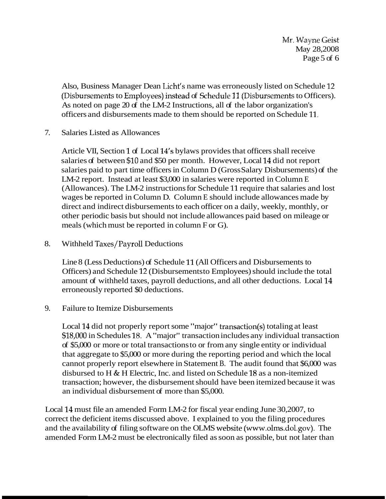$Mr.$  Wayne Geist May 28,2008 Page 5 of 6

Also, Business Manager Dean Licht's name was erroneously listed on Schedule 12 (Disbursements to Employees) instead of Schedule 11 *(Disbursements to Officers)*. As noted on page 20 of the LM-2 Instructions, all of the labor organization's officers and disbursements made to them should be reported on Schedule 11.

7. Salaries Listed as Allowances

Article VII, Section 1 of Local 14's bylaws provides that officers shall receive salaries of between \$10 and \$50 per month. However, Local 14 did not report salaries paid to part time officers in Column D (Gross Salary Disbursements) of the LM-2 report. Instead at least \$3,000 in salaries were reported in Column E (Allowances). The LM-2 instructions for Schedule 11 require that salaries and lost wages be reported in Column D. Column E should include allowances made by direct and indirect disbursements to each officer on a daily, weekly, monthly, or other periodic basis but should not include allowances paid based on mileage or meals (which must be reported in column F or G).

8. Withheld Taxes/Payroll Deductions

Line 8 (Less Deductions) of Schedule 11 (All Officers and Disbursements to Officers) and Schedule 12 (Disbursements to Employees) should include the total amount of withheld taxes, payroll deductions, and all other deductions. Local 14 erroneously reported \$0 deductions.

### 9. Failure to Itemize Disbursements

Local 14 did not properly report some "major" transaction(s) totaling at least \$18,000 in Schedules 18. A "major" transaction includes any individual transaction of \$5,000 or more or total transactions to or from any single entity or individual that aggregate to \$5,000 or more during the reporting period and which the local cannot properly report elsewhere in Statement B. The audit found that \$6,000 was disbursed to H & H Electric, Inc. and listed on Schedule 18 as a non-itemized transaction; however, the disbursement should have been itemized because it was an individual disbursement of more than \$5,000.

Local 14 must file an amended Form LM-2 for fiscal year ending June 30,2007, to correct the deficient items discussed above. I explained to you the filing procedures and the availability of filing software on the OLMS website (www.olms.dol.gov). The amended Form LM-2 must be electronically filed as soon as possible, but not later than